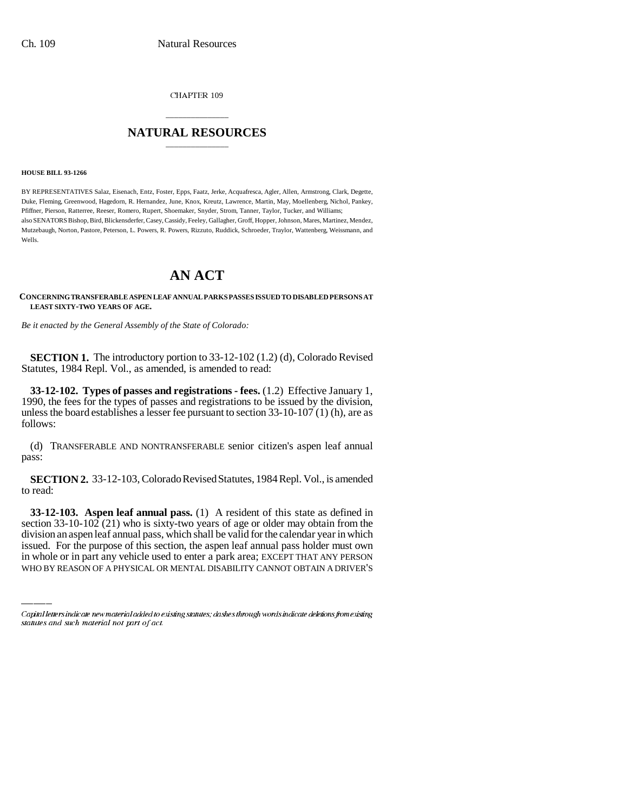CHAPTER 109

## \_\_\_\_\_\_\_\_\_\_\_\_\_\_\_ **NATURAL RESOURCES** \_\_\_\_\_\_\_\_\_\_\_\_\_\_\_

**HOUSE BILL 93-1266**

BY REPRESENTATIVES Salaz, Eisenach, Entz, Foster, Epps, Faatz, Jerke, Acquafresca, Agler, Allen, Armstrong, Clark, Degette, Duke, Fleming, Greenwood, Hagedorn, R. Hernandez, June, Knox, Kreutz, Lawrence, Martin, May, Moellenberg, Nichol, Pankey, Pfiffner, Pierson, Ratterree, Reeser, Romero, Rupert, Shoemaker, Snyder, Strom, Tanner, Taylor, Tucker, and Williams; also SENATORS Bishop, Bird, Blickensderfer, Casey, Cassidy, Feeley, Gallagher, Groff, Hopper, Johnson, Mares, Martinez, Mendez, Mutzebaugh, Norton, Pastore, Peterson, L. Powers, R. Powers, Rizzuto, Ruddick, Schroeder, Traylor, Wattenberg, Weissmann, and Wells.

## **AN ACT**

**CONCERNING TRANSFERABLE ASPEN LEAF ANNUAL PARKS PASSES ISSUED TO DISABLED PERSONS AT LEAST SIXTY-TWO YEARS OF AGE.**

*Be it enacted by the General Assembly of the State of Colorado:*

**SECTION 1.** The introductory portion to 33-12-102 (1.2) (d), Colorado Revised Statutes, 1984 Repl. Vol., as amended, is amended to read:

**33-12-102. Types of passes and registrations - fees.** (1.2) Effective January 1, 1990, the fees for the types of passes and registrations to be issued by the division, unless the board establishes a lesser fee pursuant to section 33-10-107 (1) (h), are as follows:

(d) TRANSFERABLE AND NONTRANSFERABLE senior citizen's aspen leaf annual pass:

**SECTION 2.** 33-12-103, Colorado Revised Statutes, 1984 Repl. Vol., is amended to read:

section  $33-10-102$  (21) who is sixty-two years of age or older may obtain from the **33-12-103. Aspen leaf annual pass.** (1) A resident of this state as defined in division an aspen leaf annual pass, which shall be valid for the calendar year in which issued. For the purpose of this section, the aspen leaf annual pass holder must own in whole or in part any vehicle used to enter a park area; EXCEPT THAT ANY PERSON WHO BY REASON OF A PHYSICAL OR MENTAL DISABILITY CANNOT OBTAIN A DRIVER'S

Capital letters indicate new material added to existing statutes; dashes through words indicate deletions from existing statutes and such material not part of act.